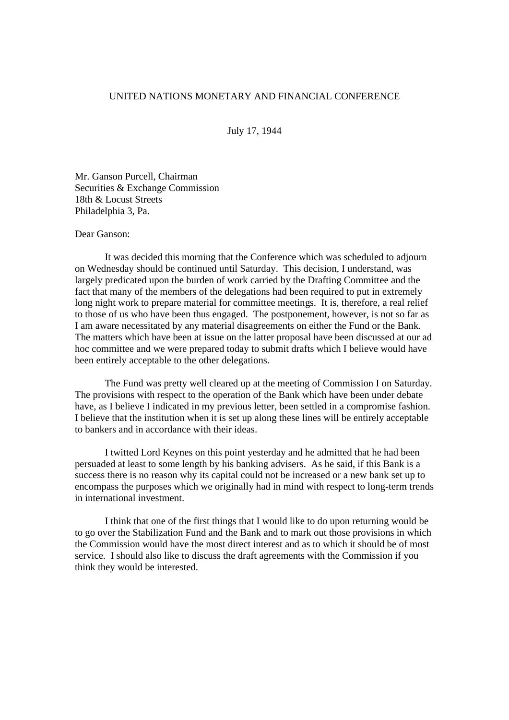## UNITED NATIONS MONETARY AND FINANCIAL CONFERENCE

July 17, 1944

Mr. Ganson Purcell, Chairman Securities & Exchange Commission 18th & Locust Streets Philadelphia 3, Pa.

## Dear Ganson:

It was decided this morning that the Conference which was scheduled to adjourn on Wednesday should be continued until Saturday. This decision, I understand, was largely predicated upon the burden of work carried by the Drafting Committee and the fact that many of the members of the delegations had been required to put in extremely long night work to prepare material for committee meetings. It is, therefore, a real relief to those of us who have been thus engaged. The postponement, however, is not so far as I am aware necessitated by any material disagreements on either the Fund or the Bank. The matters which have been at issue on the latter proposal have been discussed at our ad hoc committee and we were prepared today to submit drafts which I believe would have been entirely acceptable to the other delegations.

The Fund was pretty well cleared up at the meeting of Commission I on Saturday. The provisions with respect to the operation of the Bank which have been under debate have, as I believe I indicated in my previous letter, been settled in a compromise fashion. I believe that the institution when it is set up along these lines will be entirely acceptable to bankers and in accordance with their ideas.

I twitted Lord Keynes on this point yesterday and he admitted that he had been persuaded at least to some length by his banking advisers. As he said, if this Bank is a success there is no reason why its capital could not be increased or a new bank set up to encompass the purposes which we originally had in mind with respect to long-term trends in international investment.

I think that one of the first things that I would like to do upon returning would be to go over the Stabilization Fund and the Bank and to mark out those provisions in which the Commission would have the most direct interest and as to which it should be of most service. I should also like to discuss the draft agreements with the Commission if you think they would be interested.